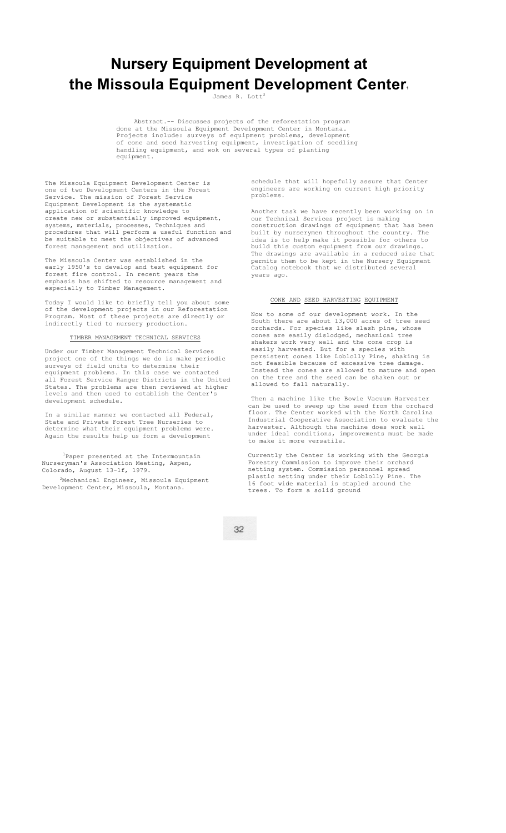# **Nursery Equipment Development at**  the Missoula Equipment Development Center.

James R. Lott<sup>2</sup>

Abstract.-- Discusses projects of the reforestation program done at the Missoula Equipment Development Center in Montana. Projects include: surveys of equipment problems, development of cone and seed harvesting equipment, investigation of seedling handling equipment, and wok on several types of planting equipment.

The Missoula Equipment Development Center is one of two Development Centers in the Forest Service. The mission of Forest Service Equipment Development is the systematic application of scientific knowledge to create new or substantially improved equipment, systems, materials, processes, Techniques and procedures that will perform a useful function and be suitable to meet the objectives of advanced forest management and utilization.

The Missoula Center was established in the early 1950's to develop and test equipment for forest fire control. In recent years the emphasis has so accounted. In recent years the<br>emphasis has shifted to resource management and especially to Timber Management.

Today I would like to briefly tell you about some of the development projects in our Reforestation Program. Most of these projects are directly or indirectly tied to nursery production.

## TIMBER MANAGEMENT TECHNICAL SERVICES

Under our Timber Management Technical Services project one of the things we do is make periodic surveys of field units to determine their equipment problems. In this case we contacted all Forest Service Ranger Districts in the United States. The problems are then reviewed at higher levels and then used to establish the Center' development schedule.

In a similar manner we contacted all Federal, State and Private Forest Tree Nurseries to determine what their equipment problems were. Again the results help us form a development

1Paper presented at the Intermountain Nurseryman's Association Meeting, Aspen, Colorado, August 13-1f, 1979.

 $2$ Mechanical Engineer, Missoula Equipment Development Center, Missoula, Montana.

schedule that will hopefully assure that Center engineers are working on current high priority problems.

Another task we have recently been working on in our Technical Services project is making construction drawings of equipment that has been built by nurserymen throughout the country. The idea is to help make it possible for others to build this custom equipment from our drawings. The drawings are available in a reduced size that permits them to be kept in the Nursery Equipment Catalog notebook that we distributed several years ago.

# CONE AND SEED HARVESTING EQUIPMENT

Now to some of our development work. In the South there are about 13,000 acres of tree seed orchards. For species like slash pine, whose cones are easily dislodged, mechanical tree shakers work very well and the cone crop is easily harvested. But for a species with persistent cones like Loblolly Pine, shaking is persistent conce into someoning someone of the second teams of excessive tree damage. Instead the cones are allowed to mature and open on the tree and the seed can be shaken out or allowed to fall naturally.

Then a machine like the Bowie Vacuum Harvester can be used to sweep up the seed from the orchard floor. The Center worked with the North Carolina Industrial Cooperative Association to evaluate the harvester. Although the machine does work well under ideal conditions, improvements must be made to make it more versatile.

Currently the Center is working with the Georgia Forestry Commission to improve their orchard netting system. Commission personnel spread plastic netting under their Loblolly Pine. The 16 foot wide material is stapled around the trees. To form a solid ground

32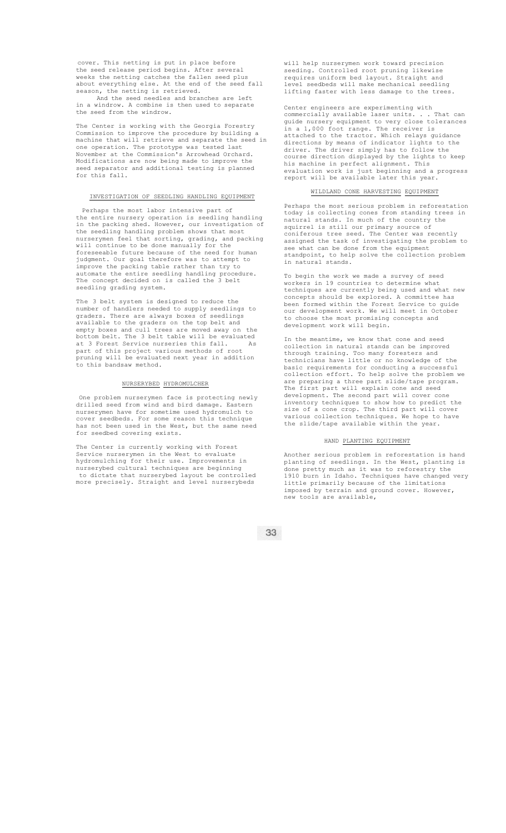cover. This netting is put in place before the seed release period begins. After several weeks the netting catches the fallen seed plus about everything else. At the end of the seed fall season, the netting is retrieved.

And the seed needles and branches are left in a windrow. A combine is then used to separate the seed from the windrow.

The Center is working with the Georgia Forestry Commission to improve the procedure by building a machine that will retrieve and separate the seed in one operation. The prototype was tested last November at the Commission's Arrowhead Orchard. Modifications are now being made to improve the seed separator and additional testing is planned for this fall.

# INVESTIGATION OF SEEDLING HANDLING EQUIPMENT

Perhaps the most labor intensive part of the entire nursery operation is seedling handling in the packing shed. However, our investigation of the seedling handling problem shows that most nurserymen feel that sorting, grading, and packing will continue to be done manually for the foreseeable future because of the need for human judgment. Our goal therefore was to attempt to improve the packing table rather than try to automate the entire seedling handling procedure. The concept decided on is called the 3 belt seedling grading system.

The 3 belt system is designed to reduce the number of handlers needed to supply seedlings to graders. There are always boxes of seedlings available to the graders on the top belt and empty boxes and cull trees are moved away on the bottom belt. The 3 belt table will be evaluated at 3 Forest Service nurseries this fall. As part of this project various methods of root pruning will be evaluated next year in addition to this bandsaw method.

## NURSERYBED HYDROMULCHER

One problem nurserymen face is protecting newly drilled seed from wind and bird damage. Eastern nurserymen have for sometime used hydromulch to cover seedbeds. For some reason this technique has not been used in the West, but the same need for seedbed covering exists.

The Center is currently working with Forest Service nurserymen in the West to evaluate hydromulching for their use. Improvements in nurserybed cultural techniques are beginning to dictate that nurserybed layout be controlled more precisely. Straight and level nurserybeds

will help nurserymen work toward precision seeding. Controlled root pruning likewise requires uniform bed layout. Straight and level seedbeds will make mechanical seedling lifting faster with less damage to the trees.

Center engineers are experimenting with commercially available laser units. . . That can guide nursery equipment to very close tolerances in a 1,000 foot range. The receiver is attached to the tractor. Which relays guidance directions by means of indicator lights to the driver. The driver simply has to follow the course direction displayed by the lights to keep his machine in perfect alignment. This evaluation work is just beginning and a progress report will be available later this year.

## WILDLAND CONE HARVESTING EQUIPMENT

Perhaps the most serious problem in reforestation today is collecting cones from standing trees in natural stands. In much of the country the squirrel is still our primary source of coniferous tree seed. The Center was recently assigned the task of investigating the problem to see what can be done from the equipment to help solve the collection problem standpoint, to help<br>in natural stands.

To begin the work we made a survey of seed workers in 19 countries to determine what techniques are currently being used and what new concepts should be explored. A committee has been formed within the Forest Service to guide our development work. We will meet in October to choose the most promising concepts and development work will begin.

In the meantime, we know that cone and seed collection in natural stands can be improved through training. Too many foresters and technicians have little or no knowledge of the basic requirements for conducting a successful collection effort. To help solve the problem we are preparing a three part slide/tape program. The first part will explain cone and seed development. The second part will cover cone inventory techniques to show how to predict the size of a cone crop. The third part will cover various collection techniques. We hope to have the slide/tape available within the year.

# HAND PLANTING EQUIPMENT

Another serious problem in reforestation is hand planting of seedlings. In the West, planting is done pretty much as it was to reforestry the 1910 burn in Idaho. Techniques have changed very little primarily because of the limitations imposed by terrain and ground cover. However, new tools are available,